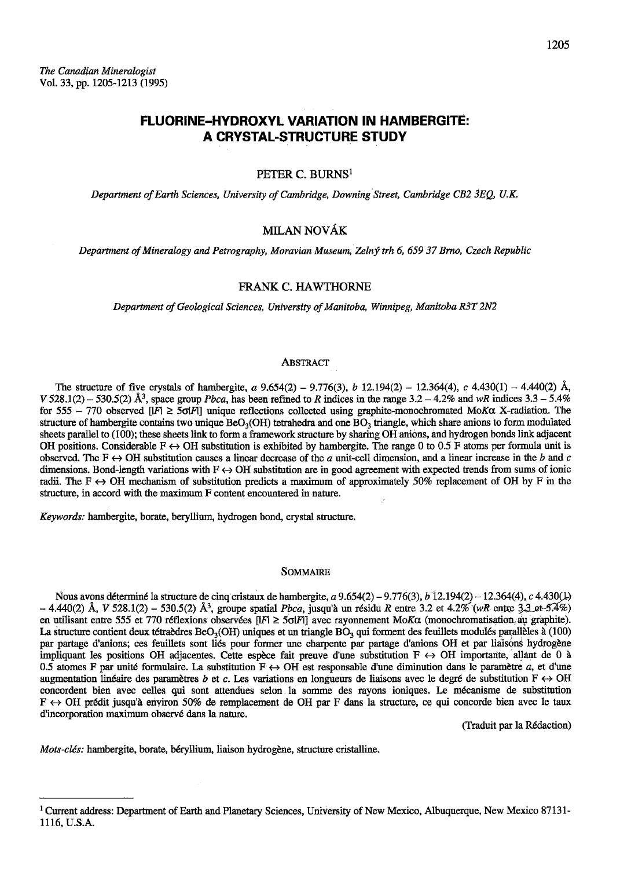# **FLUORINE-HYDROXYL VARIATION IN HAMBERGITE:** A CRYSTAL-STRUCTURE STUDY

#### PETER C. BURNS<sup>1</sup>

Department of Earth Sciences, University of Cambridge, Downing Street, Cambridge CB2 3EQ, U.K.

## MILAN NOVÁK

Department of Mineralogy and Petrography, Moravian Museum, Zelný trh 6, 659 37 Brno, Czech Republic

## FRANK C. HAWTHORNE

Department of Geological Sciences, University of Manitoba, Winnipeg, Manitoba R3T 2N2

#### **ABSTRACT**

The structure of five crystals of hambergite, a  $9.654(2) - 9.776(3)$ , b  $12.194(2) - 12.364(4)$ , c  $4.430(1) - 4.440(2)$  Å, V 528.1(2) - 530.5(2) Å<sup>3</sup>, space group *Pbca*, has been refined to R indices in the range  $3.2 - 4.2\%$  and wR indices  $3.3 - 5.4\%$ for 555 - 770 observed [IF]  $\geq$  50[F] unique reflections collected using graphite-monochromated MoK $\alpha$  X-radiation. The structure of hambergite contains two unique  $BeO<sub>3</sub>(OH)$  tetrahedra and one  $BO<sub>3</sub>$  triangle, which share anions to form modulated sheets parallel to (100); these sheets link to form a framework structure by sharing OH anions, and hydrogen bonds link adjacent OH positions. Considerable  $F \leftrightarrow OH$  substitution is exhibited by hambergite. The range 0 to 0.5 F atoms per formula unit is observed. The  $F \leftrightarrow OH$  substitution causes a linear decrease of the a unit-cell dimension, and a linear increase in the b and c dimensions. Bond-length variations with  $F \leftrightarrow OH$  substitution are in good agreement with expected trends from sums of ionic radii. The F  $\leftrightarrow$  OH mechanism of substitution predicts a maximum of approximately 50% replacement of OH by F in the structure, in accord with the maximum F content encountered in nature.

Keywords: hambergite, borate, beryllium, hydrogen bond, crystal structure.

#### **SOMMAIRE**

Nous avons déterminé la structure de cinq cristaux de hambergite, a  $9.654(2) - 9.776(3)$ , b  $12.194(2) - 12.364(4)$ , c  $4.430(1)$  $-4.440(2)$  Å, V 528.1(2) - 530.5(2) Å<sup>3</sup>, groupe spatial *Pbca*, jusqu'à un résidu R entre 3.2 et 4.2% (wR entre 3.3 et 5.4%) en utilisant entre 555 et 770 réflexions observées [IF]  $\geq$  50|F]] avec rayonnement MoK $\alpha$  (monochromatisation au graphite). La structure contient deux tétraèdres BeO<sub>3</sub>(OH) uniques et un triangle BO<sub>3</sub> qui forment des feuillets modulés parallèles à (100) par partage d'anions; ces feuillets sont liés pour former une charpente par partage d'anions OH et par liaisons hydrogène impliquant les positions OH adjacentes. Cette espèce fait preuve d'une substitution  $F \leftrightarrow OH$  importante, allant de 0 à 0.5 atomes F par unité formulaire. La substitution  $F \leftrightarrow OH$  est responsable d'une diminution dans le paramètre a, et d'une augmentation linéaire des paramètres b et c. Les variations en longueurs de liaisons avec le degré de substitution  $F \leftrightarrow OH$ concordent bien avec celles qui sont attendues selon la somme des rayons ioniques. Le mécanisme de substitution  $F \leftrightarrow OH$  prédit jusqu'à environ 50% de remplacement de OH par F dans la structure, ce qui concorde bien avec le taux d'incorporation maximum observé dans la nature.

(Traduit par la Rédaction)

Mots-clés: hambergite, borate, béryllium, liaison hydrogène, structure cristalline.

<sup>&</sup>lt;sup>1</sup> Current address: Department of Earth and Planetary Sciences, University of New Mexico, Albuquerque, New Mexico 87131-1116, U.S.A.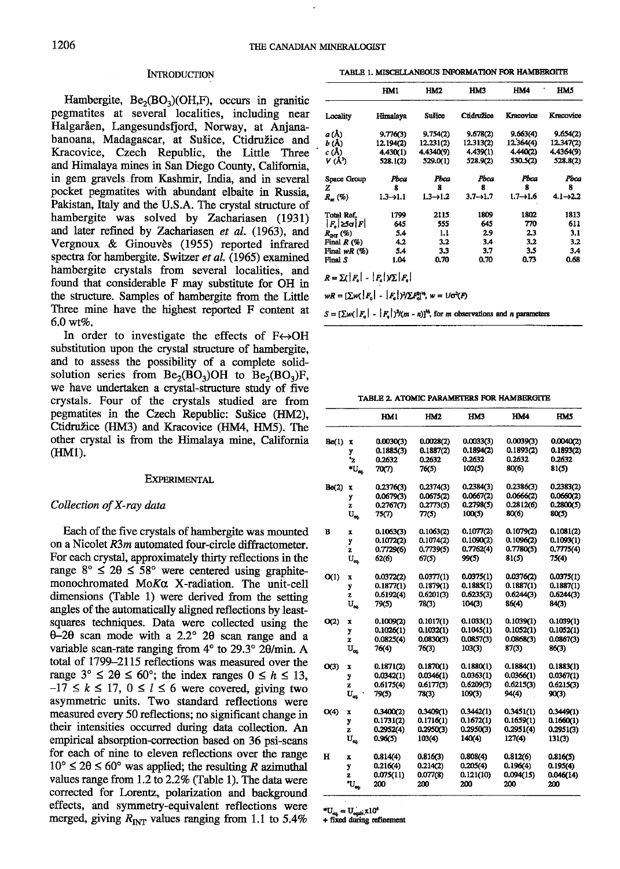#### **INTRODUCTION**

Hambergite,  $Be_2(BO_3)(OH,F)$ , occurs in granitic pegmatites at several localities, including near Halgaråen, Langesundsfjord, Norway, at Anjanabanoana, Madagascar, at Sušice, Ctidružice and Kracovice, Czech Republic, the Little Three and Himalaya mines in San Diego County, California, in gem gravels.from Kashmir, India, and in several pocket pegmatites with abundant elbaite in Russia, Pakistan, Italy and the U.S.A. The crystal structure of hambergite was solved by Zachariasen (1931) and later refined by Zachariasen et al. (1963), and Vergnoux & Ginouvès (1955) reported infrared spectra for hambergite. Switzer et al.  $(1965)$  examined hambergite crystals from several localities, and found that considerable F may substitute for OH in the structure. Samples of hambergite from the Little Three mine have the highest reported F content at  $6.0$  wt%.

In order to investigate the effects of  $F \leftrightarrow OH$ substitution upon the crystal structure of hambergite, and to assess the possibility of a complete solidsolution series from  $Be_2(BO_3)OH$  to  $Be_2(BO_3)F$ , we have undertaken a crystal-structure study of five crystals. Four of the crystals studied are from pegmatites in the Czech Republic: Su5ice (HM2), Ctidružice (HM3) and Kracovice (HM4, HM5). The other crystal is from the Himalaya mine, California (HM1).

#### EXPERIMENTAL

## Collection of X-ray data

Each of the five crystals of hambergite was mounted on a Nicolet  $R3m$  automated four-circle diffractometer. For each crystal, approximately thirty reflections in the range  $8^{\circ} \leq 2\theta \leq 58^{\circ}$  were centered using graphitemonochromated MoKa X-radiation. The unit-cell dimensions (Table 1) were derived from the setting angles of the automatically aligned reflections by leastsquares techniques. Data were collected using the  $\theta$ -2 $\theta$  scan mode with a 2.2° 2 $\theta$  scan range and a variable scan-rate ranging from  $4^{\circ}$  to  $29.3^{\circ}$   $2\theta$ /min. A total of 1799-2LL5 reflections was measured over the range  $3^{\circ} \leq 2\theta \leq 60^{\circ}$ ; the index ranges  $0 \leq h \leq 13$ ,  $-17 \le k \le 17$ ,  $0 \le l \le 6$  were covered, giving two asymmetric units. Two standard reflections were measured every 50 reflections; no significant change in their intensities occurred during data collection. An empirical absorption-conection based on 36 psi-scans for each of nine to eleven reflections over the range  $10^{\circ} \le 2\theta \le 60^{\circ}$  was applied; the resulting R azimuthal values range from  $1.2$  to  $2.2\%$  (Table 1). The data were corrected for Lorentz, polarization and background effects, and symmetry-equivalent reflections were merged, giving  $R_{\text{INT}}$  values ranging from 1.1 to 5.4%

TABLE 1. MISCELLANEOUS INFORMATION FOR HAMBERGITE

|                             | HM1                   | HM2                   | <b>HM3</b>  | IIM4                  | IM5         |
|-----------------------------|-----------------------|-----------------------|-------------|-----------------------|-------------|
| Locality                    | Himalaya              | Sulice                | Ctidružice  | Kracovice             | Kracovice   |
| a (Å)                       | 9.776(3)              | 9.754(2)              | 9,678(2)    | 9,663(4)              | 9.654(2)    |
| b (Å)                       | 12.194(2)             | 12.231(2)             | 12.313(2)   | 12,364(4)             | 12.347(2)   |
| c(A)                        | 4.430(1)              | 4.4340(9)             | 4.439(1)    | 4.440(2)              | 4.4364(9)   |
| V (Å <sup>3</sup> )         | 528.1(2)              | 529.0(1)              | 528.9(2)    | 530.5(2)              | 528.8(2)    |
| Space Group                 | Pbca                  | Pbca                  | Pbca        | Pbca                  | Pbca        |
| z                           | 8                     | 8                     | 8           | 8                     | 8           |
| $R_{w}(\%)$                 | $1.3 \rightarrow 1.1$ | $1.3 \rightarrow 1.2$ | $3.7 - 1.7$ | $1.7 \rightarrow 1.6$ | $4.1 - 2.2$ |
| Total Ref.                  | 1799                  | 2115                  | 1809        | 1802                  | 1813        |
| $ F_n  \geq 5$ $\sigma  F $ | 645                   | 555                   | 645         | 770                   | 611         |
| $R_{\rm{nr}}$ (%)           | 5.4                   | 1.I                   | 29          | 23                    | 3.1         |
| Final $R(%)$                | 4.2                   | 3.2                   | 3.4         | 3.2                   | 3.2         |
| Final $wR(\%)$              | 5.4                   | 3.3                   | 3.7         | 3.5                   | 3.4         |
| Final S                     | 1.04                  | 0.70                  | 0.70        | 0.73                  | 0.68        |

 $R = \sum (|F_{\rm e}| - |F_{\rm e}|)/\sum |F_{\rm e}|$ 

 $wR = \left[\sum w(\left|F_{o}\right| - \left|F_{e}\right|\right)^{2}/\sum F_{o}^{n}\right]^{n}, w = U\sigma^{2}(F)$ 

 $S = [\sum w(\vert F_n \vert - \vert F_n \vert)^2/(m - n)]^{\frac{1}{2}}$ , for *m* observations and *n* parameters

TABLE 2 ATOMIC PARAMETERS FOR HAMBERGITB

|       |                             | HM1       | HM2       | HM3       | HM4       | <b>HM5</b> |
|-------|-----------------------------|-----------|-----------|-----------|-----------|------------|
| Be(1) | x                           | 0.0030(3) | 0.0028(2) | 0.0033(3) | 0.0039(3) | 0.0040(2)  |
|       | y                           | 0.1885(3) | 0.1887(2) | 0.1894(2) | 0.1893(2) | 0.1893(2)  |
|       | ÷,                          | 0.2632    | 0.2632    | 0.2632    | 0.2632    | 0.2632     |
|       | $\mathbf{U}_{\text{eq}}$    | 70(7)     | 76(5)     | 102(5)    | 80(6)     | 81(5)      |
| Be(2) | x                           | 0.2376(3) | 0.2374(3) | 0.2384(3) | 0.2386(3) | 0.2383(2)  |
|       | y                           | 0.0679(3) | 0.0675(2) | 0.0667(2) | 0.0666(2) | 0.0660(2)  |
|       | z                           | 0.2767(7) | 0.2773(5) | 0.2798(5) | 0.2812(6) | 0.2800(5)  |
|       | $\mathrm{U}_{\mathrm{ex}}$  | 75(7)     | 77(5)     | 100(5)    | 80(6)     | 80(5)      |
| B     | x                           | 0.1063(3) | 0.1063(2) | 0.1077(2) | 0.1079(2) | 0.1081(2)  |
|       | у                           | 0.1072(2) | 0.1074(2) | 0.1090(2) | 0.1096(2) | 0.1093(1)  |
|       | z                           | 0.7729(6) | 0.7739(5) | 0.7762(4) | 0.7780(5) | 0.7775(4)  |
|       | $\mathbf{U}_{\mathbf{e}_i}$ | 62(6)     | 67(5)     | 99(5)     | 81(5)     | 75(4)      |
| O(1)  | x                           | 0.0372(2) | 0.0377(1) | 0.0375(1) | 0.0376(2) | 0.0375(1)  |
|       | y                           | 0.1877(1) | 0.1879(1) | 0.1885(1) | 0.1887(1) | 0.1887(1)  |
|       | z                           | 0.6192(4) | 0.6201(3) | 0.6235(3) | 0.6244(3) | 0.6244(3)  |
|       | $U_{ca.}$                   | 79(5)     | 78(3)     | 104(3)    | 86(4)     | 84(3)      |
| O(2)  | x                           | 0.1009(2) | 0.1017(1) | 0.1033(1) | 0.1039(1) | 0.1039(1)  |
|       | y                           | 0.1026(1) | 0.1032(1) | 0.1045(1) | 0.1052(1) | 0.1052(1)  |
|       | z                           | 0.0825(4) | 0.0830(3) | 0.0857(3) | 0.0868(3) | 0.0867(3)  |
|       | $U_{\alpha}$                | 76(4)     | 76(3)     | 103(3)    | 87(3)     | 86(3)      |
| O(3)  | x                           | 0.1871(2) | 0.1870(1) | 0.1880(1) | 0.1884(1) | 0.1883(1)  |
|       | y                           | 0.0342(1) | 0.0346(1) | 0.0363(1) | 0.0366(1) | 0.0367(1)  |
|       | z                           | 0.6175(4) | 0.6177(3) | 0.6209(3) | 0.6215(3) | 0.6215(3)  |
|       | $\mathbf{U}_{\mathbf{q}}$   | 79(5)     | 78(3)     | 109(3)    | 94(4)     | 90(3)      |
| O(4)  | x                           | 0.3400(2) | 0.3409(1) | 0.3442(1) | 0.3451(1) | 0.3449(1)  |
|       | y                           | 0.1731(2) | 0.1716(1) | 0.1672(1) | 0.1659(1) | 0.1660(1)  |
|       | z                           | 0.2952(4) | 0.2950(3) | 0.2950(3) | 0.2951(4) | 0.2951(3)  |
|       | $\mathbf{U}_{\infty}$       | 0.96(5)   | 103(4)    | 140(4)    | 127(4)    | 131(3)     |
| н     | x                           | 0.814(4)  | 0.816(3)  | 0.808(4)  | 0.812(6)  | 0.816(5)   |
|       | y                           | 0.216(4)  | 0.214(2)  | 0.205(4)  | 0.196(4)  | 0.195(4)   |
|       | z                           | 0.075(11) | 0.077(8)  | 0.121(10) | 0.094(15) | 0.046(14)  |
|       | $\mathbf{U}_{\mathbf{q}}$   | 200       | 200       | 200       | 200       | 200        |
|       |                             |           |           |           |           |            |

 $*U_{eq} = U_{eqab}^{-} \times 10^{4}$ 

+ fixed during refinement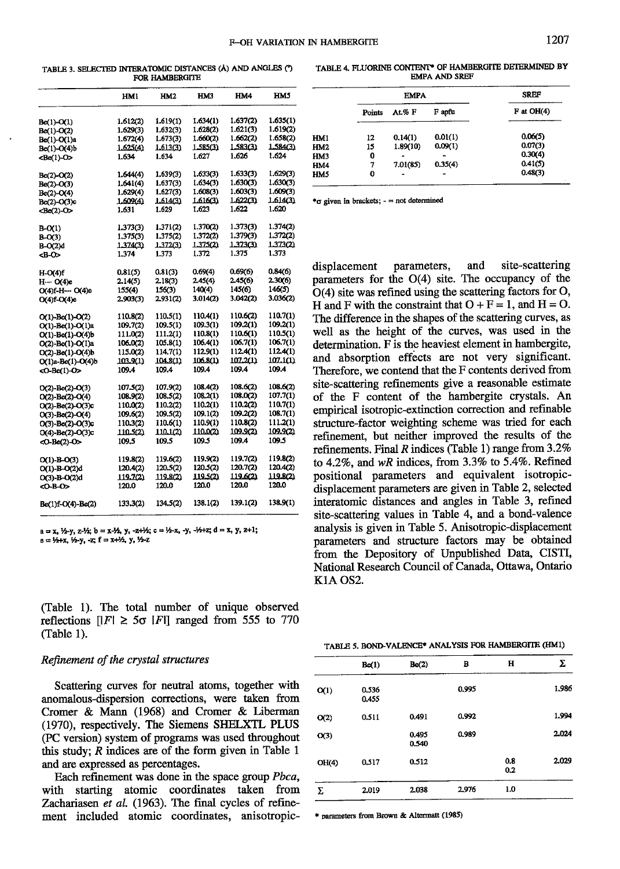TABLE 3. SELECTED INTERATOMIC DISTANCES (A) AND ANGLES (\*) FOR HAMBERGITE

|                        | HM1      | HM2      | HM3             | HM4      | <b>IIM5</b>     |
|------------------------|----------|----------|-----------------|----------|-----------------|
| Be(1)-O(1)             | 1.612(2) | 1.619(1) | 1.634(1)        | 1.637(2) | 1.635(1)        |
| Be(1)-O(2)             | 1.629(3) | 1.632(3) | 1.628(2)        | 1.621(3) | 1.619(2)        |
| Be(1)-O(1)a            | 1.672(4) | 1.673(3) | 1.660(2)        | 1.662(2) | 1.658(2)        |
| Be(1)-O(4)b            | 1.625(4) | 1.613(3) | 1.585(3)        | 1.583(3) | <u>1.584(3)</u> |
| $Be(1)-O>$             | 1.634    | 1.634    | 1.627           | 1.626    | 1.624           |
| Be(2)-O(2)             | 1.644(4) | 1.639(3) | 1.633(3)        | 1.633(3) | 1.629(3)        |
| Be(2)-O(3)             | 1.641(4) | 1.637(3) | 1.634(3)        | 1.630(3) | 1.630(3)        |
| Be(2)-O(4)             | 1.629(4) | 1,627(3) | 1.608(3)        | 1.603(3) | 1.609(3)        |
| Be(2)-O(3)c            | 1.609(4) | 1.614(3) | 1.616(3)        | 1.622(3) | 1.614(3)        |
| <be(2)-o></be(2)-o>    | 1.631    | 1.629    | 1.623           | 1.622    | 1.620           |
| B-O(1)                 | 1.373(3) | 1.371(2) | 1.370(2)        | 1.373(3) | 1.374(2)        |
| $B-O(3)$               | 1.375(3) | 1.375(2) | 1.372(2)        | 1.379(3) | 1.372(2)        |
| B-O(2)d                | 1.374(3) | 1.372(3) | 1.375(2)        | 1.373(3) | 1.373(2)        |
| <b-o></b-o>            | 1.374    | 1.373    | 1.372           | 1.375    | 1.373           |
| H-O(4)f                | 0.81(5)  | 0.81(3)  | 0.69(4)         | 0.69(6)  | 0.84(6)         |
| Н… О(4)е               | 2.14(5)  | 2.18(3)  | 2.45(4)         | 2.45(6)  | 2.30(6)         |
| O(4)f-H… O(4)e         | 155(4)   | 156(3)   | 140(4)          | 145(6)   | 146(5)          |
| $O(4)f-O(4)e$          | 2.903(3) | 2,931(2) | 3.014(2)        | 3.042(2) | 3.036(2)        |
| O(1)-Be(1)-O(2)        | 110.8(2) | 110.5(1) | 110.4(1)        | 110.6(2) | 110.7(1)        |
| O(1)-Be(1)-O(1)a       | 109.7(2) | 109.5(1) | 109.3(1)        | 109.2(1) | 109.2(1)        |
| O(1)-Be(1)-O(4)b       | 111.0(2) | 111.2(1) | 110.8(1)        | 110.6(1) | 110.5(1)        |
| O(2)-Be(1)-O(1)a       | 106.0(2) | 105.8(1) | 106.4(1)        | 106,7(1) | 106.7(1)        |
| O(2)-Be(1)-O(4)b       | 115.0(2) | 114.7(1) | 112.9(1)        | 112.4(1) | 112.4(1)        |
| O(1)a-Be(1)-O(4)b      | 103.9(1) | 104.8(1) | <u>106.8(1)</u> | 107.2(1) | <u>107.1(1)</u> |
| <0-Be(1)-0>            | 109.4    | 109.4    | 109.4           | 109.4    | 109.4           |
| $O(2)$ -Be(2)- $O(3)$  | 107.5(2) | 107.9(2) | 108.4(2)        | 108.6(2) | 108.6(2)        |
| O(2)-Be(2)-O(4)        | 108.9(2) | 108.5(2) | 108.2(1)        | 108.0(2) | 107.7(1)        |
| O(2)-Be(2)-O(3)c       | 110.0(2) | 110.2(2) | 110.2(1)        | 110.2(2) | 110.7(1)        |
| $O(3)$ -Be(2)- $O(4)$  | 109.6(2) | 109.5(2) | 109.1(2)        | 109.2(2) | 108.7(1)        |
| O(3)-Be(2)-O(3)c       | 110.3(2) | 110.6(1) | 110.9(1)        | 110.8(2) | 111.2(1)        |
| $O(4)$ -Be(2)- $O(3)c$ | 110.5(2) | 110.1(2) | 110.021         | 109.9(2) | 109.9(2)        |
| <0-Be(2)-0>            | 109.5    | 109.5    | 109.5           | 109.4    | 109.5           |
| $O(1)-B-O(3)$          | 119.8(2) | 119.6(2) | 119.9(2)        | 119.7(2) | 119.8(2)        |
| O(1)-B-O(2)d           | 120.4(2) | 120,5(2) | 120.5(2)        | 120.7(2) | 120.4(2)        |
| $O(3)$ -B- $O(2)$ d    | 119.7(2) | 119.8(2) | 119.5(2)        | 119.6(2) | 119.8(2)        |
| <o-b-o></o-b-o>        | 120.0    | 120.0    | 120.0           | 120.0    | 120.0           |
| Be(1)f-O(4)-Be(2)      | 133.3(2) | 134.5(2) | 138.1(2)        | 139.1(2) | 138.9(1)        |

 $a = x$ ,  $\frac{1}{2}y$ ,  $z-\frac{1}{2}$ ;  $b = x-\frac{1}{2}y$ ,  $z+\frac{1}{2}z$ ;  $c = \frac{1}{2}x$ ,  $y$ ,  $-\frac{1}{2}x+z$ ;  $d = x$ ,  $y$ ,  $z+1$ ;  $e = \frac{1}{4} + x$ ,  $\frac{1}{2} - y$ ,  $-z$ ;  $f = x + \frac{1}{2}$ ,  $y$ ,  $\frac{1}{2} + z$ 

(Table l). The total number of unique observed reflections  $\vert |F| \geq 5\sigma$   $\vert F \vert \vert$  ranged from 555 to 770 (Iable l).

## Refinement of the crystal structures

Scattering curves for neutral atoms, together with anomalous-dispersion corrections, were taken from Cromer & Mann (1968) and Cromer & Liberman (1970), respectively. The Siemens SIIEIXTL PLUS (PC version) system of programs was used throughout this study; R indices are of the form given in Table 1 and are expressed as percentages.

Each refinement was done in the space group Pbca, with starting atomic coordinates taken from Zachariasen et al. (1963). The final cycles of refinement included atomic coordinates, anisotropic-

TABLE 4. FLUORINE CONTENT\* OF HAMBERGITE DETERMINED BY EMPAAND SREF

| HMS              |     |        | <b>EMPA</b> | <b>SREF</b> |              |
|------------------|-----|--------|-------------|-------------|--------------|
| 635(1)           |     | Points | At%F        | F apfu      | $F$ at OH(4) |
| 619(2)<br>658(2) | HM1 | 12     | 0.14(1)     | 0.01(1)     | 0.06(5)      |
| 584(3)           | HM2 | 15     | 1.89(10)    | 0.09(1)     | 0.07(3)      |
| 624              | HM3 | 0      |             |             | 0.30(4)      |
|                  | HM4 | 7      | 7.01(85)    | 0.35(4)     | 0.41(5)      |
| 629(3)<br>630(3) | HM5 | 0      | $\bullet$   | -           | 0.48(3)      |

 $\text{*} \sigma$  given in brackets;  $\cdot$  = not determined

displacement parameters, and site-scattering parameters for the O(4) site. The occupancy of the  $O(4)$  site was refined using the scattering factors for  $O$ , H and F with the constraint that  $O + F = 1$ , and  $H = O$ . The difference in the shapes of the scattering curyes, as well as the height of the curves, was used in the determination. F is the heaviest element in hambergite, and absorption effects are not very significant. Therefore, we contend that the F contents derived from site-scattering refinements give a reasonable estimate of the F content of the hambergite crystals. An empirical isotropic-extinction correction and refinable structure-factor weighting scheme was ried for each refinement, but neither improved the results of the refinements. Final R indices (Table 1) range from  $3.2\%$ to 4.2%, and  $wR$  indices, from 3.3% to 5.4%. Refined positional parameters and equivalent isotropicdisplacement parameters are given in Table 2, selected interatomic distances and angles in Table 3, refined site-scattering values in Table 4, and a bond-valence analysis is given in Table 5. Anisofropic-displacement parameters and structure factors may be obtained from the Depository of Unpublished Data, CISTI, National Research Council of Canada, Ottawa, Ontario KlA OS2.

| TABLE 5. BOND-VALENCE* ANALYSIS FOR HAMBERGITE (HM1) |  |  |  |
|------------------------------------------------------|--|--|--|
|------------------------------------------------------|--|--|--|

|       | Be(1)          | Be(2)          | в     | н          | Σ     |
|-------|----------------|----------------|-------|------------|-------|
| O(1)  | 0.536<br>0.455 |                | 0.995 |            | 1.986 |
| O(2)  | 0.511          | 0.491          | 0.992 |            | 1.994 |
| O(3)  |                | 0.495<br>0.540 | 0.989 |            | 2.024 |
| OH(4) | 0.517          | 0.512          |       | 0.8<br>0.2 | 2.029 |
| Σ     | 2.019          | 2.038          | 2.976 | 1.0        |       |

\* parameters from Brown & Altermatt (1985)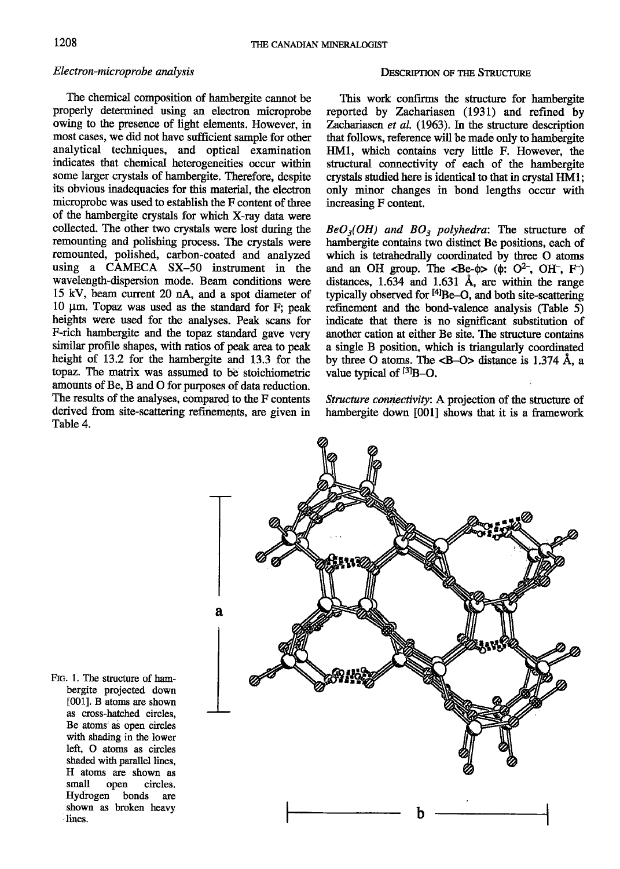## Electron-microprobe analysis

The chemical composition of hambergite cannot be properly determined using an electron microprobe owing to the presence of light elements. However, in most cases, we did not have sufficient sample for other analytical techniques, and optical examination indicates that chemical heterogeneities occur within some larger crystals of hambergite. Therefore, despite its obvious inadequacies for this material, the electron microprobe was used to establish the F content of three of the hambergite crystals for which X-ray data were collected. The other two crystals were lost dwing the remounting and polishing process. The crystals were remounted, polished, carbon-coated and analyzed using a CAMECA SX-50 instrument in the wavelength-dispersion mode. Beam conditions were 15 kV, beam current 20 nA, and a spot diameter of 10 um. Topaz was used as the standard for F; peak heights were used for the analyses. Peak scans for F-rich hambergiie and the topaz standard gave very similar profile shapes, with ratios of peak area to peak height of I3.2 for the hambergite and 13.3 for the topaz. The matrix was assumed to be stoichiometric amounts of Be, B and O for purposes of data reduction. The results of the analyses, compared to the F contents derived from site-scattering refinements, are given in Table 4.

## DESCRIPTION OF THE STRUCTURE

This work confirms the structure for hambergite reported by Zachariasen (1931) and refined by Zachariasen et al. (1963). In the structure description that follows, reference will be made only to hambergite HMl, which contains very little F. However, the structural connectivity of each of the hambergite crystals studied here is identical to that in crystal HMl; only minor changes in bond lengths occur with increasing F content.

 $BeO<sub>3</sub>(OH)$  and  $BO<sub>3</sub>$  polyhedra: The structure of hambergite contains two distinct Be positions, each of which is tetrahedrally coordinated by three O atoms and an OH group. The  $\langle \text{Be-}\phi \rangle$  ( $\phi$ : O<sup>2-</sup>, OH<sup>-</sup>, F<sup>-</sup>) distances,  $1.634$  and  $1.631$  Å, are within the range typically observed for  $[4]$ Be-O, and both site-scattering refinement and the bond-valence analysis (Table 5) indicate that there is no significant substitution of another cation at either Be site. The structure contains a single B position, which is triangularly coordinated by three O atoms. The  $\langle$ B-O $>$  distance is 1.374 Å, a value typical of  $[3]B-O$ .

Structure connectivity: A projection of the structure of hambergite down [001] shows that it is a framework



FIG. 1. The structure of hambergite projected down t0011. B atoms are shown as cross-hatched circles. Be atoms as open circles with shading in the lower left, O atoms as circles shaded wifh parallel lines, H atoms are shown as small open circles. Hydrogen bonds are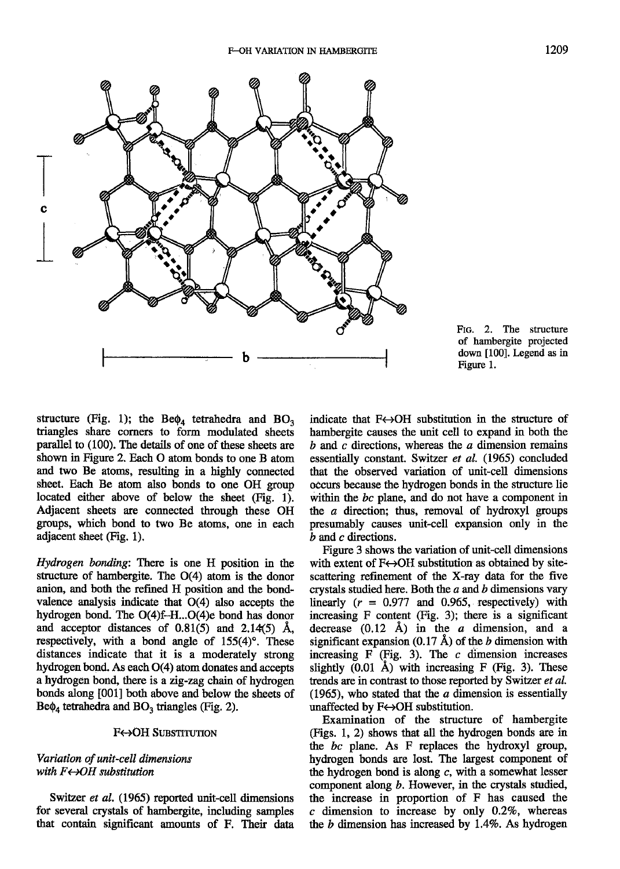

FIG. 2. The structure of hambergite projected down [100]. Legend as in Figure l.

structure (Fig. 1); the Be $\phi_4$  tetrahedra and BO<sub>3</sub> triangles share corners to form modulated sheets parallel to (100). The details of one of these sheets are shown in Figure 2. Each O atom bonds to one B atom and two Be atoms, resulting in a highly connected sheet. Each Be atom also bonds to one OH group located either above of below the sheet  $(Fig. 1)$ . Adjacent sheets are connected through these OH groups, which bond to two Be atoms, one in each adjacent sheet (Fig. 1).

Hydrogen bonding: There is one H position in the sfructure of hambergite. The O(4) atom is the donor anion, and both the refined H position and the bondvalence analysis indicate that O(4) also accepts the hydrogen bond. The  $O(4)f-H...O(4)$ e bond has donor and acceptor distances of  $0.81(5)$  and  $2.14(5)$  Å, respectively, with a bond angle of  $155(4)$ °. These distances indicate that it is a moderately strong hydrogen bond. As each O(4) atom donates and accepts a hydrogen bond, there is a zig-zag chain of hydrogen bonds along [001] both above and below the sheets of  $Be\phi_4$  tetrahedra and  $BO_3$  triangles (Fig. 2).

#### F«+OH SUBSTITUTION

## Variation of unit-cell dimensions with  $F \leftarrow \leftarrow$ OH substitution

Switzer et al. (1965) reported unit-cell dimensions for several crystals of hambergite, including samples that contain significant amounts of F. Their data indicate that  $F \leftrightarrow OH$  substitution in the structure of hambergite causes the unit cell to expand in both the  $b$  and  $c$  directions, whereas the  $a$  dimension remains essentially constant. Switzer et al. (1965) concluded that the obseryed variation of unit-cell dimensions occurs because the hydrogen bonds in the structure lie within the bc plane, and do not have a component in the a direction; thus, removal of hydroxyl groups presumably causes unit-cell expansion only in the b and c directions.

Figure 3 shows the variation of unit-cell dimensions with extent of  $F\leftrightarrow$ OH substitution as obtained by sitescatlering refinement of the X-ray data for the five crystals studied here. Both the  $a$  and  $b$  dimensions vary linearly  $(r = 0.977$  and 0.965, respectively) with increasing  $F$  content (Fig. 3); there is a significant decrease  $(0.12 \text{ Å})$  in the *a* dimension, and a significant expansion  $(0.17 \text{ Å})$  of the *b* dimension with increasing F (Fig. 3). The  $c$  dimension increases slightly  $(0.01 \text{ Å})$  with increasing F (Fig. 3). These trends are in contrast to those reported by Switzer et al. (1965), who stated that the  $a$  dimension is essentially unaffected by  $F \leftrightarrow OH$  substitution.

Examination of the structure of hambergite @igs. 1, 2) shows that all the hydrogen bonds are in the  $bc$  plane. As  $F$  replaces the hydroxyl group, hydrogen bonds are lost. The largest component of the hydrogen bond is along  $c$ , with a somewhat lesser component along  $b$ . However, in the crystals studied, the increase in proportion of  $F$  has caused the  $c$  dimension to increase by only 0.2%, whereas the  $b$  dimension has increased by 1.4%. As hydrogen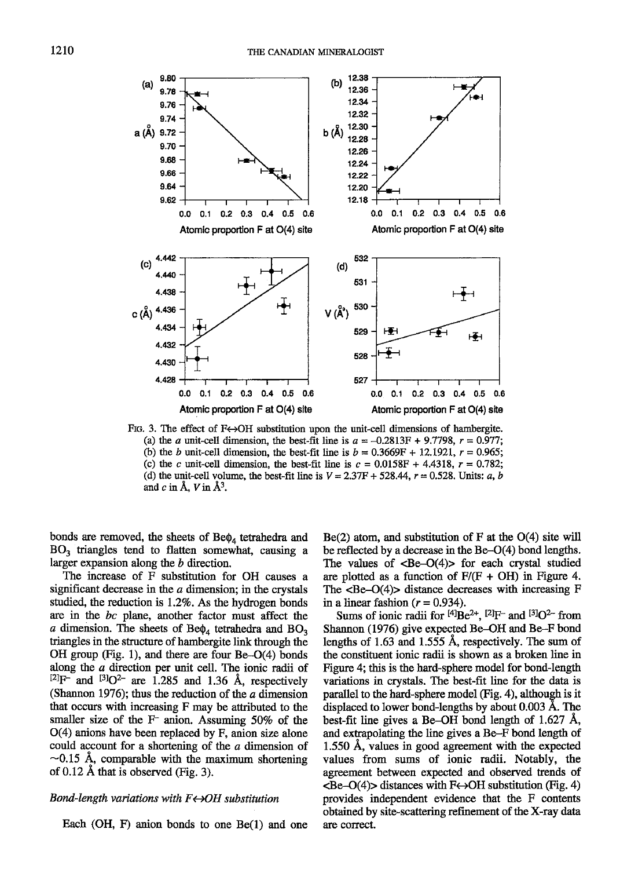

FIG. 3. The effect of  $F\leftrightarrow OH$  substitution upon the unit-cell dimensions of hambergite. (a) the a unit-cell dimension, the best-fit line is  $a = -0.2813F + 9.7798$ ,  $r = 0.977$ ; (b) the b unit-cell dimension, the best-fit line is  $b = 0.3669F + 12.1921$ ,  $r = 0.965$ ; (c) the c unit-cell dimension, the best-fit line is  $c = 0.0158F + 4.4318$ ,  $r = 0.782$ ; (d) the unit-cell volume, the best-fit line is  $V = 2.37F + 528.44$ ,  $r = 0.528$ . Units: a, b and  $c$  in  $\AA$ ,  $V$  in  $\AA$ <sup>3</sup>.

bonds are removed, the sheets of  $Be\phi_4$  tetrahedra and  $BO<sub>3</sub>$  triangles tend to flatten somewhat, causing a larger expansion along the b direction.

The increase of F substitution for OH causes a significant decrease in the  $a$  dimension; in the crystals studied, the reduction is  $1.2\%$ . As the hydrogen bonds are in the bc plane, another factor must affect the a dimension. The sheets of Be $\phi_4$  tetrahedra and BO<sub>3</sub> triangles in the structure of hambergite link through the OH group (Fig. 1), and there are four Be-O(4) bonds along the a direction per unit cell. The ionic radii of  $[2]F$ <sup>-</sup> and  $[3]O<sup>2</sup>$  are 1.285 and 1.36 Å, respectively (Shannon 1976); thus the reduction of the  $a$  dimension that occurs with increasing F may be attributed to the smaller size of the  $F$  anion. Assuming 50% of the O(4) anions have been replaced by F, anion size alone could account for a shortening of the a dimension of  $\sim$ 0.15 Å, comparable with the maximum shortening of  $0.12$  Å that is observed (Fig. 3).

## Bond-length variations with  $F \leftrightarrow OH$  substitution

Each (OH, F) anion bonds to one  $Be(1)$  and one

 $Be(2)$  atom, and substitution of F at the O(4) site will be reflected by a decrease in the Be-O(4) bond lengths. The values of  $\langle Be-O(4) \rangle$  for each crystal studied are plotted as a function of  $F/(F + OH)$  in Figure 4. The  $\langle \text{Be}-O(4) \rangle$  distance decreases with increasing F in a linear fashion  $(r = 0.934)$ .

Sums of ionic radii for  $[4]Be^{2+}$ ,  $[2]F^-$  and  $[3]O^{2-}$  from Shannon (1976) give expected Be-OH and Be-F bond lengths of 1.63 and 1.555 A, respectively. The sum of the constituent ionic radii is shown as a broken line in Figure 4; this is the hard-sphere model for bond-length variations in crystals. The best-fit line for the data is parallel to the hard-sphere model (Fig. 4), although is it displaced to lower bond-lengths by about 0.003 A. The best-fit line gives a Be-OH bond length of  $1.627$  Å, and extrapolating the line gives a Be-F bond length of  $1.550$  Å, values in good agreement with the expected values from sums of ionic radii. Notably, the agreement between expected and observed ftends of  $\langle \text{Be}-O(4)\rangle$  distances with F $\leftrightarrow$ OH substitution (Fig. 4) provides independent evidence that the F contents obtained by site-scattering refinement of the X-ray data are correct.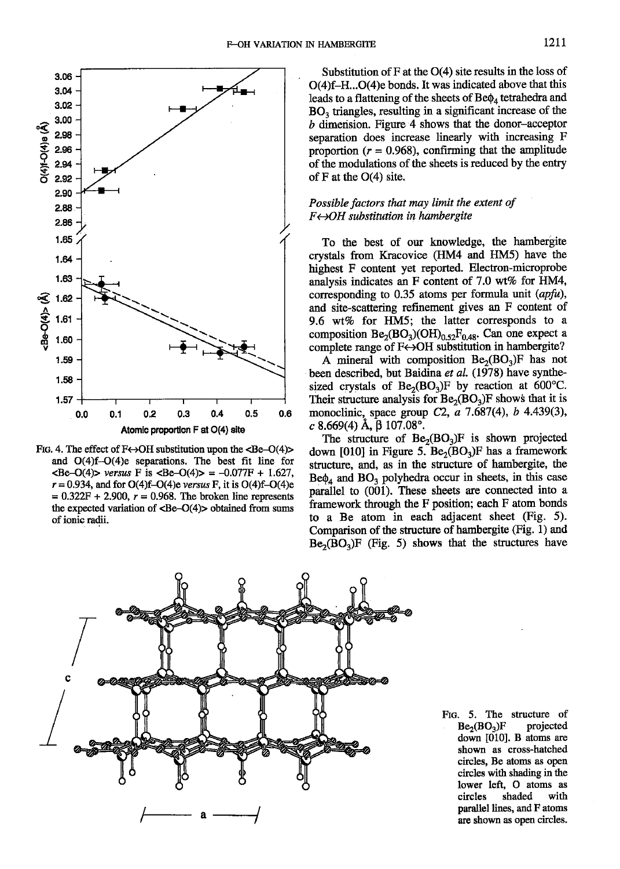

FIG. 4. The effect of  $F \leftrightarrow OH$  substitution upon the <Be-O(4)> and  $O(4)f-O(4)e$  separations. The best fit line for  $\langle \text{Be}-O(4) \rangle$  versus F is  $\langle \text{Be}-O(4) \rangle = -0.077F + 1.627$ .  $r = 0.934$ , and for O(4)f-O(4)e versus F, it is O(4)f-O(4)e  $= 0.322F + 2.900$ ,  $r = 0.968$ . The broken line represents the expected variation of  $\langle Be-O(4) \rangle$  obtained from sums of ionic radii.

Substitution of  $F$  at the  $O(4)$  site results in the loss of O(4)f-H...O(4)e bonds. It was indicated above that this leads to a flattening of the sheets of  $Be\phi_4$  tetrahedra and BO<sub>3</sub> triangles, resulting in a significant increase of the b dimension. Figure 4 shows that the donor-acceptor separation does increase linearly with increasing F proportion ( $r = 0.968$ ), confirming that the amplitude of the modulations of the sheets is reduced by the entry of F at the  $O(4)$  site.

## Possible factors that may limit the extent of  $F \leftrightarrow OH$  substitution in hambergite

To the best of our knowledge, the hambergite crystals from Kracovice (HM4 and HM5) have the highest F content yet reported. Electron-microprobe analysis indicates an F content of 7.0 wt% for HM4, corresponding to 0.35 atoms per formula unit  $(apfu)$ , and site-scattering refinement gives an F content of 9.6 wt% for HM5; the latter corresponds to a composition  $Be_2(BO_3)(OH)_{0.52}F_{0.48}$ . Can one expect a complete range of F«+OH substitution in hambergite?

A mineral with composition  $Be_2(BO_3)F$  has not been described, but Baidina et al. (1978) have synthesized crystals of  $Be_2(BO_3)F$  by reaction at 600°C. Their structure analysis for  $Be_2(BO_3)F$  shows that it is monoclinic, space group C2, a 7.687(4), b 4.439(3), c 8.669(4) Å,  $\beta$  107.08°.

The structure of  $Be_2(BO_3)F$  is shown projected down [010] in Figure 5.  $Be_2(BO_2)F$  has a framework structure, and, as in the structure of hambergite, the  $\text{Be}\phi_4$  and  $\text{BO}_3$  polyhedra occur in sheets, in this case parallel to (001). These sheets are connected into a framework through the F position; each F atom bonds to a Be atom in each adjacent sheet (Fig. 5). Comparison of the structure of hambergite (Fig. 1) and  $Be_2(BO_2)F$  (Fig. 5) shows that the structures have



FIG. 5. The structure of projected  $Be<sub>2</sub>(BO<sub>3</sub>)F$ down [010]. B atoms are shown as cross-hatched circles, Be atoms as open circles with shading in the lower left. O atoms as circles shaded with parallel lines, and F atoms are shown as open circles.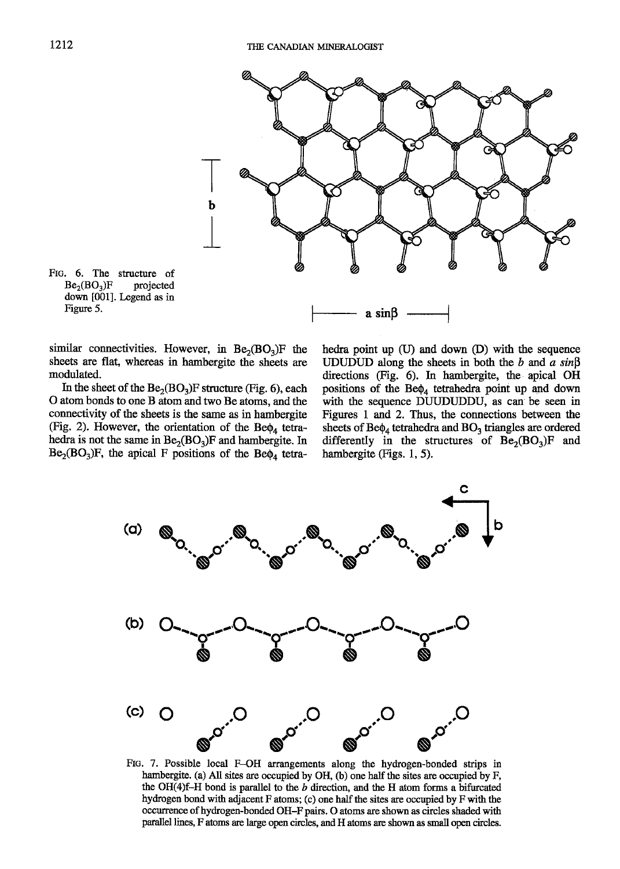



similar connectivities. However, in  $Be<sub>2</sub>(BO<sub>3</sub>)F$  the sheets are flat, whereas in hambergite the sheets are modulated.

In the sheet of the  $Be<sub>2</sub>(BO<sub>3</sub>)F$  structure (Fig. 6), each O atom bonds to one B atom and two Be atoms. and the connectivity of the sheets is the same as in hambergite (Fig. 2). However, the orientation of the Be $\phi$ , tetrahedra is not the same in  $Be_2(BO_3)F$  and hambergite. In  $Be<sub>2</sub>(BO<sub>3</sub>)F$ , the apical F positions of the Be $\phi<sub>4</sub>$  tetrahedra point up (U) and down (D) with the sequence UDUDUD along the sheets in both the b and a  $sin\beta$ directions (Fig. 6). In hambergite, the apical OH positions of the  $Be\phi_4$  tetrahedra point up and down with the sequence DUUDUDDU, as can be seen in Figures L and 2. Thus, the connections between the sheets of  $Be\phi_4$  tetrahedra and  $BO_3$  triangles are ordered differently in the structures of  $Be_2(BO_3)F$  and hambergite  $(Figs. 1, 5)$ .



FtG. 7. Possible local F-OH arrangements along the hydrogen-bonded strips in hambergite. (a) All sites are occupied by OH, (b) one half the sites are occupied by F, the OH(4)f-H bond is parallel to the  $b$  direction, and the H atom forms a bifurcated hydrogen bond with adjacent F atoms; (c) one half the sites are occupied by F with the occurrence of hydrogen-bonded OH-F pairs. O atoms are shown as circles shaded with parallel lines, F atoms are large open circles, and H atoms are shown as small open circles.